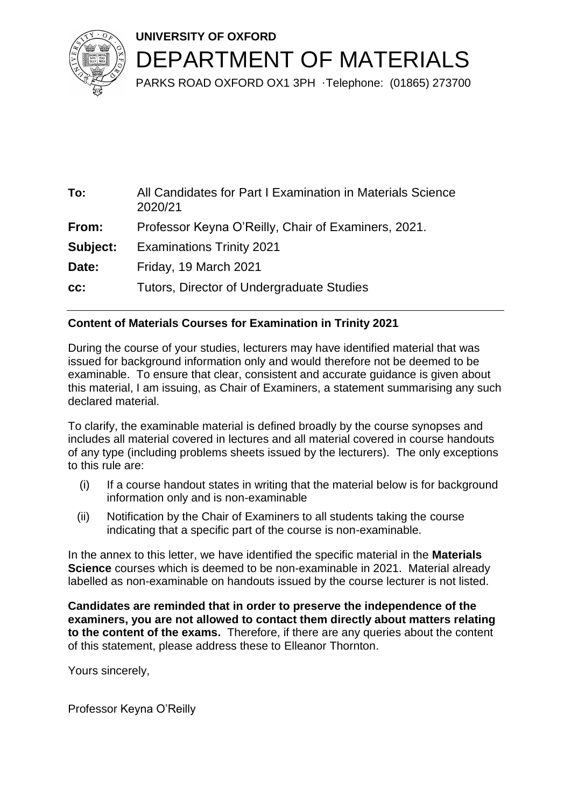



PARKS ROAD OXFORD OX1 3PH ·Telephone: (01865) 273700

| To:      | All Candidates for Part I Examination in Materials Science<br>2020/21 |
|----------|-----------------------------------------------------------------------|
| From:    | Professor Keyna O'Reilly, Chair of Examiners, 2021.                   |
| Subject: | <b>Examinations Trinity 2021</b>                                      |
| Date:    | Friday, 19 March 2021                                                 |
| CC:      | Tutors, Director of Undergraduate Studies                             |

## **Content of Materials Courses for Examination in Trinity 2021**

During the course of your studies, lecturers may have identified material that was issued for background information only and would therefore not be deemed to be examinable. To ensure that clear, consistent and accurate guidance is given about this material, I am issuing, as Chair of Examiners, a statement summarising any such declared material.

To clarify, the examinable material is defined broadly by the course synopses and includes all material covered in lectures and all material covered in course handouts of any type (including problems sheets issued by the lecturers). The only exceptions to this rule are:

- (i) If a course handout states in writing that the material below is for background information only and is non-examinable
- (ii) Notification by the Chair of Examiners to all students taking the course indicating that a specific part of the course is non-examinable.

In the annex to this letter, we have identified the specific material in the **Materials Science** courses which is deemed to be non-examinable in 2021. Material already labelled as non-examinable on handouts issued by the course lecturer is not listed.

**Candidates are reminded that in order to preserve the independence of the examiners, you are not allowed to contact them directly about matters relating to the content of the exams.** Therefore, if there are any queries about the content of this statement, please address these to Elleanor Thornton.

Yours sincerely,

Professor Keyna O'Reilly